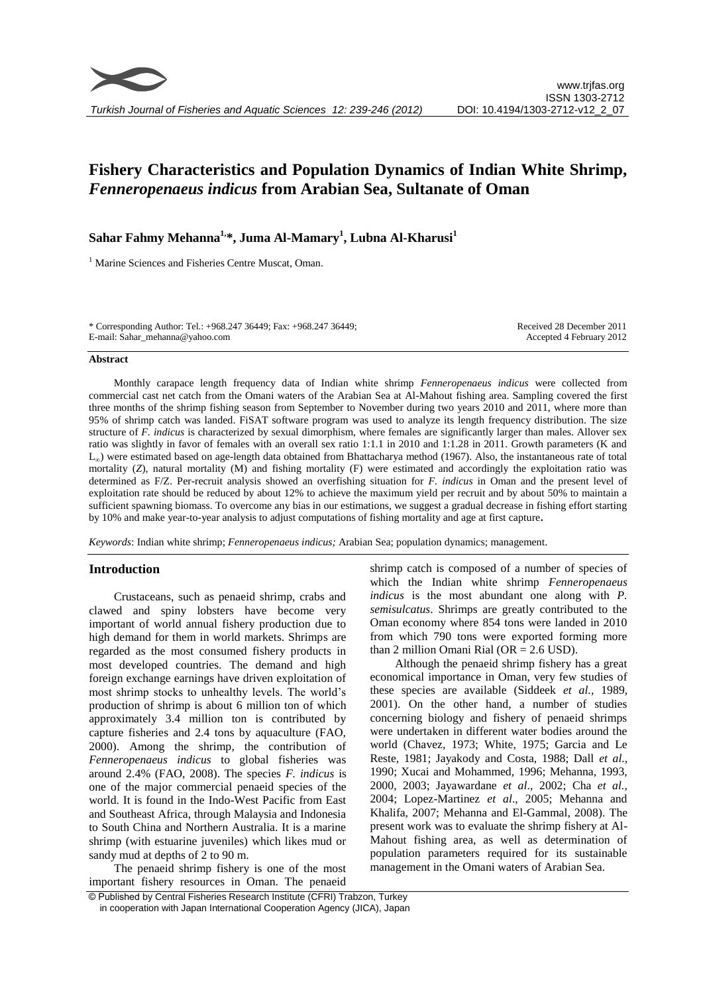# **Fishery Characteristics and Population Dynamics of Indian White Shrimp,**  *Fenneropenaeus indicus* **from Arabian Sea, Sultanate of Oman**

## **Sahar Fahmy Mehanna1,\*, Juma Al-Mamary<sup>1</sup> , Lubna Al-Kharusi<sup>1</sup>**

<sup>1</sup> Marine Sciences and Fisheries Centre Muscat, Oman.

\* Corresponding Author: Tel.: +968.247 36449; Fax: +968.247 36449; E-mail: Sahar\_mehanna@yahoo.com

Received 28 December 2011 Accepted 4 February 2012

#### **Abstract**

Monthly carapace length frequency data of Indian white shrimp *Fenneropenaeus indicus* were collected from commercial cast net catch from the Omani waters of the Arabian Sea at Al-Mahout fishing area. Sampling covered the first three months of the shrimp fishing season from September to November during two years 2010 and 2011, where more than 95% of shrimp catch was landed. FiSAT software program was used to analyze its length frequency distribution. The size structure of *F. indicus* is characterized by sexual dimorphism, where females are significantly larger than males. Allover sex ratio was slightly in favor of females with an overall sex ratio 1:1.1 in 2010 and 1:1.28 in 2011. Growth parameters (K and L∞) were estimated based on age-length data obtained from Bhattacharya method (1967). Also, the instantaneous rate of total mortality (*Z*), natural mortality (*M*) and fishing mortality (*F*) were estimated and accordingly the exploitation ratio was determined as F/Z. Per-recruit analysis showed an overfishing situation for *F. indicus* in Oman and the present level of exploitation rate should be reduced by about 12% to achieve the maximum yield per recruit and by about 50% to maintain a sufficient spawning biomass. To overcome any bias in our estimations, we suggest a gradual decrease in fishing effort starting by 10% and make year-to-year analysis to adjust computations of fishing mortality and age at first capture**.**

*Keywords*: Indian white shrimp; *Fenneropenaeus indicus;* Arabian Sea; population dynamics; management.

## **Introduction**

Crustaceans, such as penaeid shrimp, crabs and clawed and spiny lobsters have become very important of world annual fishery production due to high demand for them in world markets. Shrimps are regarded as the most consumed fishery products in most developed countries. The demand and high foreign exchange earnings have driven exploitation of most shrimp stocks to unhealthy levels. The world's production of shrimp is about 6 million ton of which approximately 3.4 million ton is contributed by capture fisheries and 2.4 tons by aquaculture (FAO, 2000). Among the shrimp, the contribution of *Fenneropenaeus indicus* to global fisheries was around 2.4% (FAO, 2008). The species *F. indicus* is one of the major commercial penaeid species of the world. It is found in the Indo-West Pacific from East and Southeast Africa, through Malaysia and Indonesia to South China and Northern Australia. It is a marine shrimp (with estuarine juveniles) which likes mud or sandy mud at depths of 2 to 90 m.

The penaeid shrimp fishery is one of the most important fishery resources in Oman. The penaeid shrimp catch is composed of a number of species of which the Indian white shrimp *Fenneropenaeus indicus* is the most abundant one along with *P. semisulcatus*. Shrimps are greatly contributed to the Oman economy where 854 tons were landed in 2010 from which 790 tons were exported forming more than 2 million Omani Rial ( $OR = 2.6$  USD).

Although the penaeid shrimp fishery has a great economical importance in Oman, very few studies of these species are available (Siddeek *et al.,* 1989, 2001). On the other hand, a number of studies concerning biology and fishery of penaeid shrimps were undertaken in different water bodies around the world (Chavez, 1973; White, 1975; Garcia and Le Reste, 1981; Jayakody and Costa, 1988; Dall *et al.,* 1990; Xucai and Mohammed, 1996; Mehanna, 1993, 2000, 2003; Jayawardane *et al*., 2002; Cha *et al.,* 2004; Lopez-Martinez *et al*., 2005; Mehanna and Khalifa, 2007; Mehanna and El-Gammal, 2008). The present work was to evaluate the shrimp fishery at Al-Mahout fishing area, as well as determination of population parameters required for its sustainable management in the Omani waters of Arabian Sea.

© Published by Central Fisheries Research Institute (CFRI) Trabzon, Turkey in cooperation with Japan International Cooperation Agency (JICA), Japan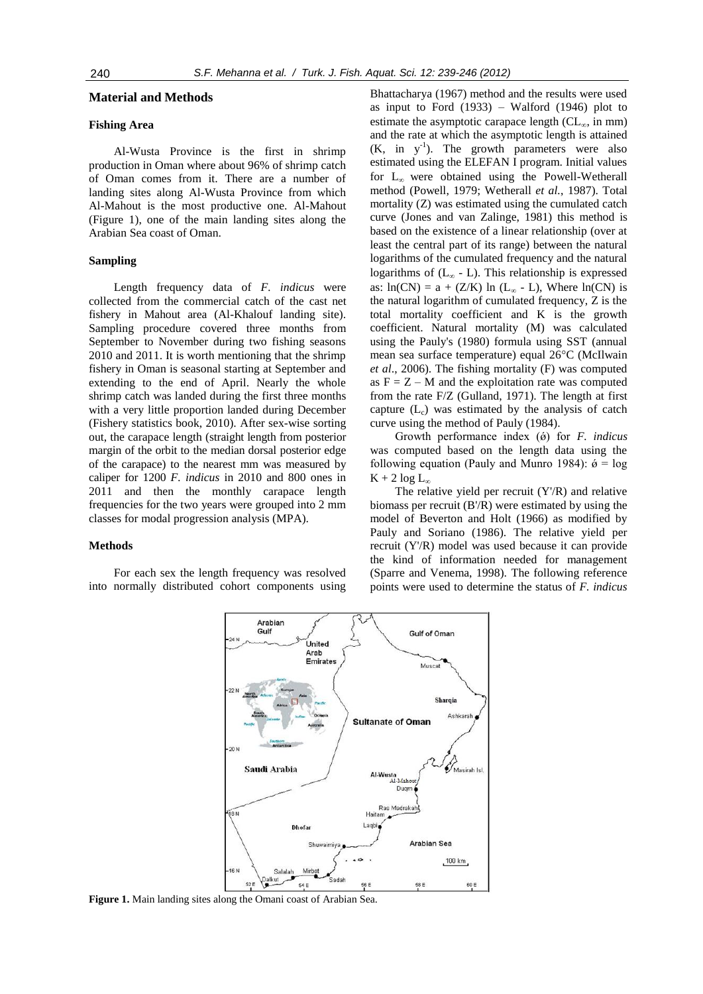## **Material and Methods**

#### **Fishing Area**

Al-Wusta Province is the first in shrimp production in Oman where about 96% of shrimp catch of Oman comes from it. There are a number of landing sites along Al-Wusta Province from which Al-Mahout is the most productive one. Al-Mahout (Figure 1), one of the main landing sites along the Arabian Sea coast of Oman.

#### **Sampling**

Length frequency data of *F. indicus* were collected from the commercial catch of the cast net fishery in Mahout area (Al-Khalouf landing site). Sampling procedure covered three months from September to November during two fishing seasons 2010 and 2011. It is worth mentioning that the shrimp fishery in Oman is seasonal starting at September and extending to the end of April. Nearly the whole shrimp catch was landed during the first three months with a very little proportion landed during December (Fishery statistics book, 2010). After sex-wise sorting out, the carapace length (straight length from posterior margin of the orbit to the median dorsal posterior edge of the carapace) to the nearest mm was measured by caliper for 1200 *F. indicus* in 2010 and 800 ones in 2011 and then the monthly carapace length frequencies for the two years were grouped into 2 mm classes for modal progression analysis (MPA).

#### **Methods**

For each sex the length frequency was resolved into normally distributed cohort components using

Bhattacharya (1967) method and the results were used as input to Ford (1933) – Walford (1946) plot to estimate the asymptotic carapace length  $CL_{\infty}$ , in mm) and the rate at which the asymptotic length is attained (K, in y-1 ). The growth parameters were also estimated using the ELEFAN I program. Initial values for  $L_{\infty}$  were obtained using the Powell-Wetherall method (Powell, 1979; Wetherall *et al.*, 1987). Total mortality (Z) was estimated using the cumulated catch curve (Jones and van Zalinge, 1981) this method is based on the existence of a linear relationship (over at least the central part of its range) between the natural logarithms of the cumulated frequency and the natural logarithms of  $(L_{\infty} - L)$ . This relationship is expressed as:  $ln(CN) = a + (Z/K) ln (L<sub>\infty</sub> - L)$ , Where  $ln(CN)$  is the natural logarithm of cumulated frequency, Z is the total mortality coefficient and K is the growth coefficient. Natural mortality (M) was calculated using the Pauly's (1980) formula using SST (annual mean sea surface temperature) equal 26°C (McIlwain *et al*., 2006). The fishing mortality (F) was computed as  $F = Z - M$  and the exploitation rate was computed from the rate F/Z (Gulland, 1971). The length at first capture  $(L_c)$  was estimated by the analysis of catch curve using the method of Pauly (1984).

Growth performance index ( $\acute{\theta}$ ) for *F. indicus* was computed based on the length data using the following equation (Pauly and Munro 1984):  $\acute{\phi} = \log$  $K + 2 log L_{\infty}$ 

The relative yield per recruit  $(Y/R)$  and relative biomass per recruit (B'/R) were estimated by using the model of Beverton and Holt (1966) as modified by Pauly and Soriano (1986). The relative yield per recruit (Y'/R) model was used because it can provide the kind of information needed for management (Sparre and Venema, 1998). The following reference points were used to determine the status of *F. indicus*



**Figure 1.** Main landing sites along the Omani coast of Arabian Sea.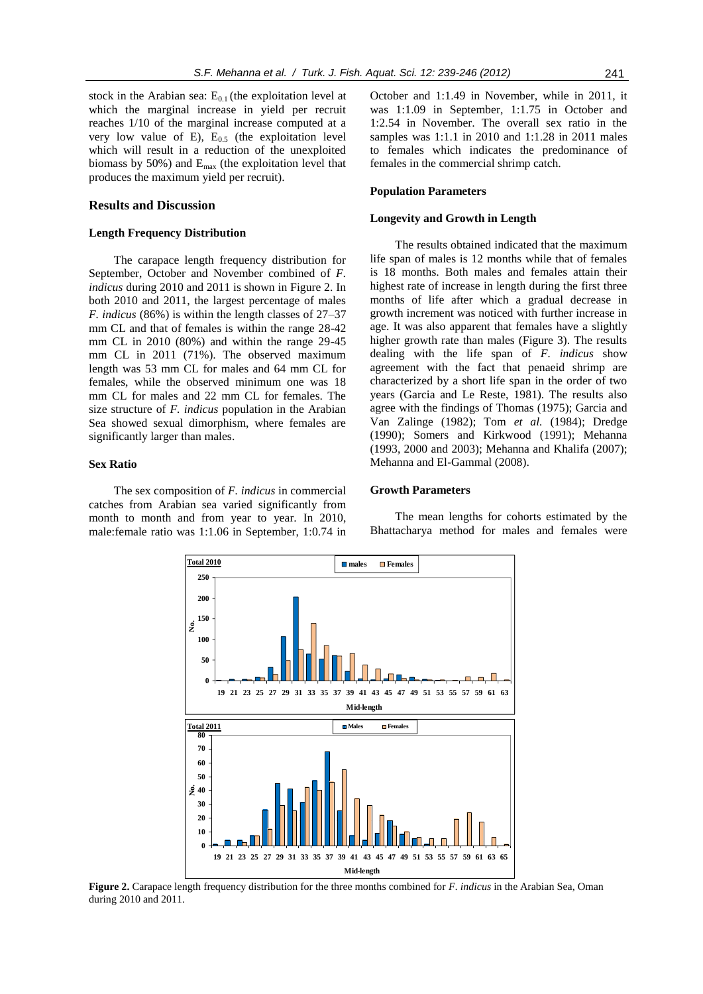stock in the Arabian sea:  $E_{0.1}$  (the exploitation level at which the marginal increase in yield per recruit reaches 1/10 of the marginal increase computed at a very low value of E),  $E_{0.5}$  (the exploitation level which will result in a reduction of the unexploited biomass by 50%) and  $E_{\text{max}}$  (the exploitation level that produces the maximum yield per recruit).

#### **Results and Discussion**

## **Length Frequency Distribution**

The carapace length frequency distribution for September, October and November combined of *F. indicus* during 2010 and 2011 is shown in Figure 2. In both 2010 and 2011, the largest percentage of males *F. indicus* (86%) is within the length classes of 27–37 mm CL and that of females is within the range 28-42 mm CL in 2010 (80%) and within the range 29-45 mm CL in 2011 (71%). The observed maximum length was 53 mm CL for males and 64 mm CL for females, while the observed minimum one was 18 mm CL for males and 22 mm CL for females. The size structure of *F. indicus* population in the Arabian Sea showed sexual dimorphism, where females are significantly larger than males.

#### **Sex Ratio**

The sex composition of *F. indicus* in commercial catches from Arabian sea varied significantly from month to month and from year to year. In 2010, male:female ratio was 1:1.06 in September, 1:0.74 in October and 1:1.49 in November, while in 2011, it was 1:1.09 in September, 1:1.75 in October and 1:2.54 in November. The overall sex ratio in the samples was 1:1.1 in 2010 and 1:1.28 in 2011 males to females which indicates the predominance of females in the commercial shrimp catch.

#### **Population Parameters**

#### **Longevity and Growth in Length**

The results obtained indicated that the maximum life span of males is 12 months while that of females is 18 months. Both males and females attain their highest rate of increase in length during the first three months of life after which a gradual decrease in growth increment was noticed with further increase in age. It was also apparent that females have a slightly higher growth rate than males (Figure 3). The results dealing with the life span of *F. indicus* show agreement with the fact that penaeid shrimp are characterized by a short life span in the order of two years (Garcia and Le Reste, 1981). The results also agree with the findings of Thomas (1975); Garcia and Van Zalinge (1982); Tom *et al.* (1984); Dredge (1990); Somers and Kirkwood (1991); Mehanna (1993, 2000 and 2003); Mehanna and Khalifa (2007); Mehanna and El-Gammal (2008).

#### **Growth Parameters**

The mean lengths for cohorts estimated by the Bhattacharya method for males and females were



**Figure 2.** Carapace length frequency distribution for the three months combined for *F. indicus* in the Arabian Sea, Oman during 2010 and 2011.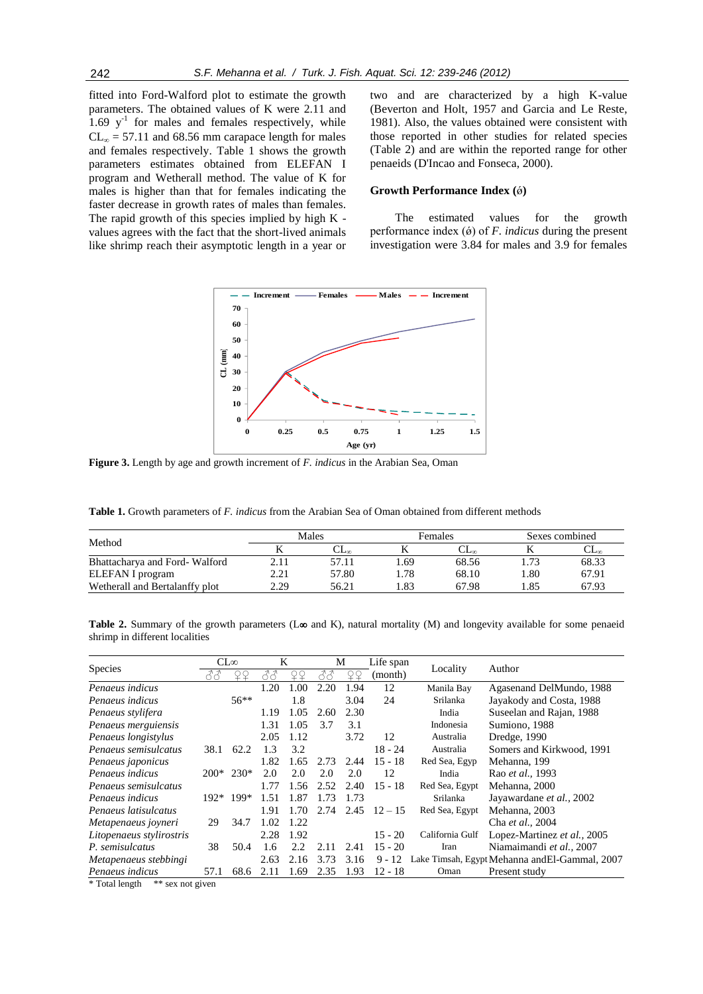fitted into Ford-Walford plot to estimate the growth parameters. The obtained values of K were 2.11 and  $1.69$  y<sup>-1</sup> for males and females respectively, while  $CL<sub>m</sub> = 57.11$  and 68.56 mm carapace length for males and females respectively. Table 1 shows the growth parameters estimates obtained from ELEFAN I program and Wetherall method. The value of K for males is higher than that for females indicating the faster decrease in growth rates of males than females. The rapid growth of this species implied by high K values agrees with the fact that the short-lived animals like shrimp reach their asymptotic length in a year or

two and are characterized by a high K-value (Beverton and Holt, 1957 and Garcia and Le Reste, 1981). Also, the values obtained were consistent with those reported in other studies for related species (Table 2) and are within the reported range for other penaeids (D'Incao and Fonseca, 2000).

## **Growth Performance Index (**ǿ**)**

The estimated values for the growth performance index (ǿ) of *F. indicus* during the present investigation were 3.84 for males and 3.9 for females



**Figure 3.** Length by age and growth increment of *F. indicus* in the Arabian Sea, Oman

**Table 1.** Growth parameters of *F. indicus* from the Arabian Sea of Oman obtained from different methods

|                                |      | Males |       | Females | Sexes combined |       |
|--------------------------------|------|-------|-------|---------|----------------|-------|
| Method                         |      | مصدب  |       | مصاب    |                | ◡┶┉   |
| Bhattacharya and Ford-Walford  | 2.11 | 57.11 | . .69 | 68.56   | 1.73           | 68.33 |
| ELEFAN I program               | 2.21 | 57.80 | .78   | 68.10   | .80            | 67.91 |
| Wetherall and Bertalanffy plot | 2.29 | 56.21 | .83   | 67.98   | 85             | 67.93 |

**Table 2.** Summary of the growth parameters ( $L\infty$  and K), natural mortality (M) and longevity available for some penaeid shrimp in different localities

| Species                  | $CL\infty$ |             | K    |       | M    |      | Life span |                 |                                                |
|--------------------------|------------|-------------|------|-------|------|------|-----------|-----------------|------------------------------------------------|
|                          |            |             |      |       |      | ¥¥   | (month)   | Locality        | Author                                         |
| Penaeus indicus          |            |             | 1.20 | 1.00  | 2.20 | 1.94 | 12        | Manila Bay      | Agasenand DelMundo, 1988                       |
| Penaeus indicus          |            | $56**$      |      | 1.8   |      | 3.04 | 24        | Srilanka        | Jayakody and Costa, 1988                       |
| Penaeus stylifera        |            |             | 1.19 | 1.05  | 2.60 | 2.30 |           | India           | Suseelan and Rajan, 1988                       |
| Penaeus merguiensis      |            |             | 1.31 | 1.05  | 3.7  | 3.1  |           | Indonesia       | Sumiono, 1988                                  |
| Penaeus longistylus      |            |             | 2.05 | 1.12  |      | 3.72 | 12        | Australia       | Dredge, 1990                                   |
| Penaeus semisulcatus     | 38.1       | 62.2        | 1.3  | 3.2   |      |      | 18 - 24   | Australia       | Somers and Kirkwood, 1991                      |
| Penaeus japonicus        |            |             | 1.82 | 1.65  | 2.73 | 2.44 | $15 - 18$ | Red Sea, Egyp   | Mehanna, 199                                   |
| Penaeus indicus          |            | $200*$ 230* | 2.0  | 2.0   | 2.0  | 2.0  | 12        | India           | Rao <i>et al.</i> , 1993                       |
| Penaeus semisulcatus     |            |             | 1.77 | 1.56  | 2.52 | 2.40 | $15 - 18$ | Red Sea, Egypt  | Mehanna, 2000                                  |
| Penaeus indicus          | $192*$     | $199*$      | 1.51 | 1.87  | 1.73 | 1.73 |           | Srilanka        | Jayawardane et al., 2002                       |
| Penaeus latisulcatus     |            |             | 1.91 | 1.70  | 2.74 | 2.45 | $12 - 15$ | Red Sea, Egypt  | Mehanna, 2003                                  |
| Metapenaeus joyneri      | 29         | 34.7        | 1.02 | 1.22. |      |      |           |                 | Cha et al., 2004                               |
| Litopenaeus stylirostris |            |             | 2.28 | 1.92  |      |      | $15 - 20$ | California Gulf | Lopez-Martinez et al., 2005                    |
| P. semisulcatus          | 38         | 50.4        | 1.6  | 2.2.  | 2.11 | 2.41 | $15 - 20$ | Iran            | Niamaimandi et al., 2007                       |
| Metapenaeus stebbingi    |            |             | 2.63 | 2.16  | 3.73 | 3.16 | $9 - 12$  |                 | Lake Timsah, Egypt Mehanna and El-Gammal, 2007 |
| Penaeus indicus          | 57.1       | 68.6        |      | 1.69  | 2.35 | 1.93 | 12 - 18   | Oman            | Present study                                  |

\* Total length \*\* sex not given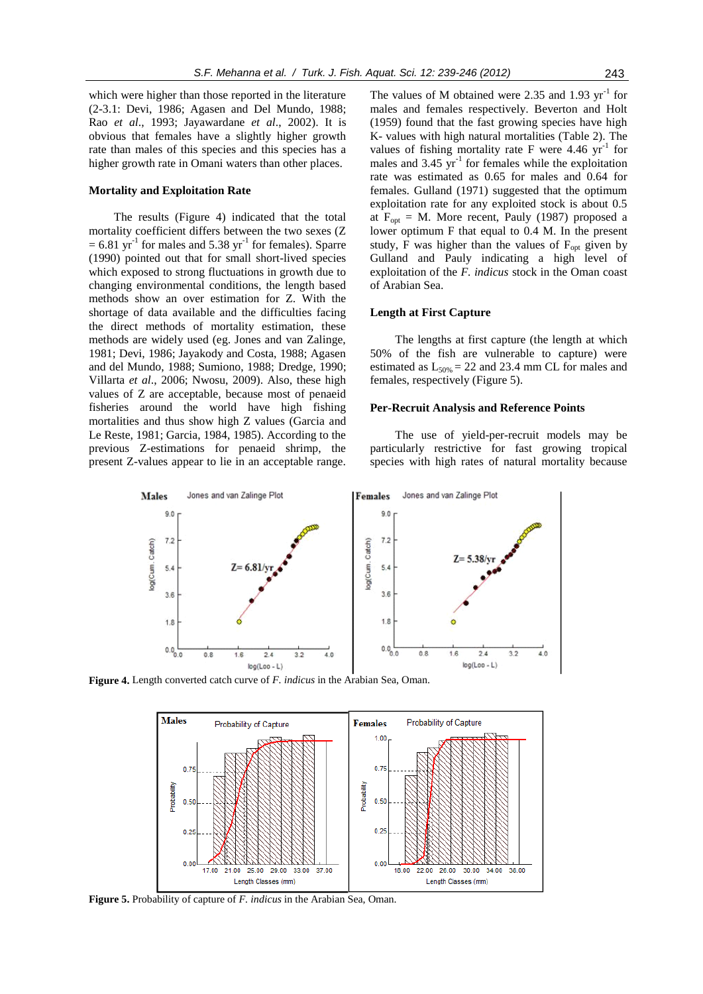which were higher than those reported in the literature (2-3.1: Devi, 1986; Agasen and Del Mundo, 1988; Rao *et al*., 1993; Jayawardane *et al*., 2002). It is obvious that females have a slightly higher growth rate than males of this species and this species has a higher growth rate in Omani waters than other places.

#### **Mortality and Exploitation Rate**

The results (Figure 4) indicated that the total mortality coefficient differs between the two sexes (Z  $= 6.81 \text{ yr}^{-1}$  for males and 5.38 yr<sup>-1</sup> for females). Sparre (1990) pointed out that for small short-lived species which exposed to strong fluctuations in growth due to changing environmental conditions, the length based methods show an over estimation for Z. With the shortage of data available and the difficulties facing the direct methods of mortality estimation, these methods are widely used (eg. Jones and van Zalinge, 1981; Devi, 1986; Jayakody and Costa, 1988; Agasen and del Mundo, 1988; Sumiono, 1988; Dredge, 1990; Villarta *et al*., 2006; Nwosu, 2009). Also, these high values of Z are acceptable, because most of penaeid fisheries around the world have high fishing mortalities and thus show high Z values (Garcia and Le Reste, 1981; Garcia, 1984, 1985). According to the previous Z-estimations for penaeid shrimp, the present Z-values appear to lie in an acceptable range.

The values of M obtained were 2.35 and 1.93  $\text{yr}^{-1}$  for males and females respectively. Beverton and Holt (1959) found that the fast growing species have high K- values with high natural mortalities (Table 2). The values of fishing mortality rate F were  $4.46 \text{ yr}^{-1}$  for males and  $3.45 \text{ yr}^{-1}$  for females while the exploitation rate was estimated as 0.65 for males and 0.64 for females. Gulland (1971) suggested that the optimum exploitation rate for any exploited stock is about 0.5 at  $F_{\text{opt}} = M$ . More recent, Pauly (1987) proposed a lower optimum F that equal to 0.4 M. In the present study,  $\overline{F}$  was higher than the values of  $F_{opt}$  given by Gulland and Pauly indicating a high level of exploitation of the *F. indicus* stock in the Oman coast of Arabian Sea.

#### **Length at First Capture**

The lengths at first capture (the length at which 50% of the fish are vulnerable to capture) were estimated as  $L_{50\%} = 22$  and 23.4 mm CL for males and females, respectively (Figure 5).

#### **Per-Recruit Analysis and Reference Points**

The use of yield-per-recruit models may be particularly restrictive for fast growing tropical species with high rates of natural mortality because



**Figure 4.** Length converted catch curve of *F. indicus* in the Arabian Sea, Oman.



**Figure 5.** Probability of capture of *F. indicus* in the Arabian Sea, Oman.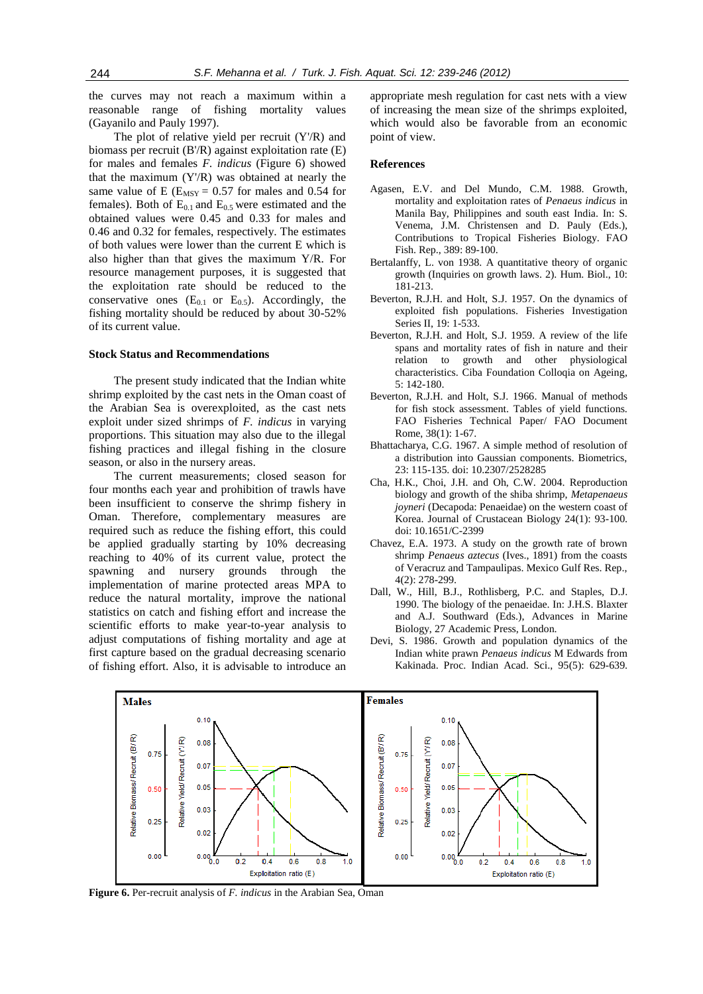the curves may not reach a maximum within a reasonable range of fishing mortality values (Gayanilo and Pauly 1997).

The plot of relative yield per recruit (Y'/R) and biomass per recruit (B'/R) against exploitation rate (E) for males and females *F. indicus* (Figure 6) showed that the maximum (Y'/R) was obtained at nearly the same value of E ( $E_{MSY} = 0.57$  for males and 0.54 for females). Both of  $E_{0,1}$  and  $E_{0,5}$  were estimated and the obtained values were 0.45 and 0.33 for males and 0.46 and 0.32 for females, respectively. The estimates of both values were lower than the current E which is also higher than that gives the maximum Y/R. For resource management purposes, it is suggested that the exploitation rate should be reduced to the conservative ones  $(E_{0.1}$  or  $E_{0.5}$ ). Accordingly, the fishing mortality should be reduced by about 30-52% of its current value.

## **Stock Status and Recommendations**

The present study indicated that the Indian white shrimp exploited by the cast nets in the Oman coast of the Arabian Sea is overexploited, as the cast nets exploit under sized shrimps of *F. indicus* in varying proportions. This situation may also due to the illegal fishing practices and illegal fishing in the closure season, or also in the nursery areas.

The current measurements; closed season for four months each year and prohibition of trawls have been insufficient to conserve the shrimp fishery in Oman. Therefore, complementary measures are required such as reduce the fishing effort, this could be applied gradually starting by 10% decreasing reaching to 40% of its current value, protect the spawning and nursery grounds through the implementation of marine protected areas MPA to reduce the natural mortality, improve the national statistics on catch and fishing effort and increase the scientific efforts to make year-to-year analysis to adjust computations of fishing mortality and age at first capture based on the gradual decreasing scenario of fishing effort. Also, it is advisable to introduce an appropriate mesh regulation for cast nets with a view of increasing the mean size of the shrimps exploited, which would also be favorable from an economic point of view.

#### **References**

- Agasen, E.V. and Del Mundo, C.M. 1988. Growth, mortality and exploitation rates of *Penaeus indicus* in Manila Bay, Philippines and south east India. In: S. Venema, J.M. Christensen and D. Pauly (Eds.), Contributions to Tropical Fisheries Biology. FAO Fish. Rep., 389: 89-100.
- Bertalanffy, L. von 1938. A quantitative theory of organic growth (Inquiries on growth laws. 2). Hum. Biol., 10: 181-213.
- Beverton, R.J.H. and Holt, S.J. 1957. On the dynamics of exploited fish populations. Fisheries Investigation Series II, 19: 1-533.
- Beverton, R.J.H. and Holt, S.J. 1959. A review of the life spans and mortality rates of fish in nature and their relation to growth and other physiological characteristics. Ciba Foundation Colloqia on Ageing, 5: 142-180.
- Beverton, R.J.H. and Holt, S.J. 1966. Manual of methods for fish stock assessment. Tables of yield functions. FAO Fisheries Technical Paper/ FAO Document Rome, 38(1): 1-67.
- Bhattacharya, C.G. 1967. A simple method of resolution of a distribution into Gaussian components. Biometrics, 23: 115-135. doi: 10.2307/2528285
- Cha, H.K., Choi, J.H. and Oh, C.W. 2004. Reproduction biology and growth of the shiba shrimp, *Metapenaeus joyneri* (Decapoda: Penaeidae) on the western coast of Korea. Journal of Crustacean Biology 24(1): 93-100. doi: 10.1651/C-2399
- Chavez, E.A. 1973. A study on the growth rate of brown shrimp *Penaeus aztecus* (Ives., 1891) from the coasts of Veracruz and Tampaulipas. Mexico Gulf Res. Rep., 4(2): 278-299.
- Dall, W., Hill, B.J., Rothlisberg, P.C. and Staples, D.J. 1990. The biology of the penaeidae. In: J.H.S. Blaxter and A.J. Southward (Eds.), Advances in Marine Biology, 27 Academic Press, London.
- Devi, S. 1986. Growth and population dynamics of the Indian white prawn *Penaeus indicus* M Edwards from Kakinada. Proc. Indian Acad. Sci., 95(5): 629-639.



**Figure 6.** Per-recruit analysis of *F. indicus* in the Arabian Sea, Oman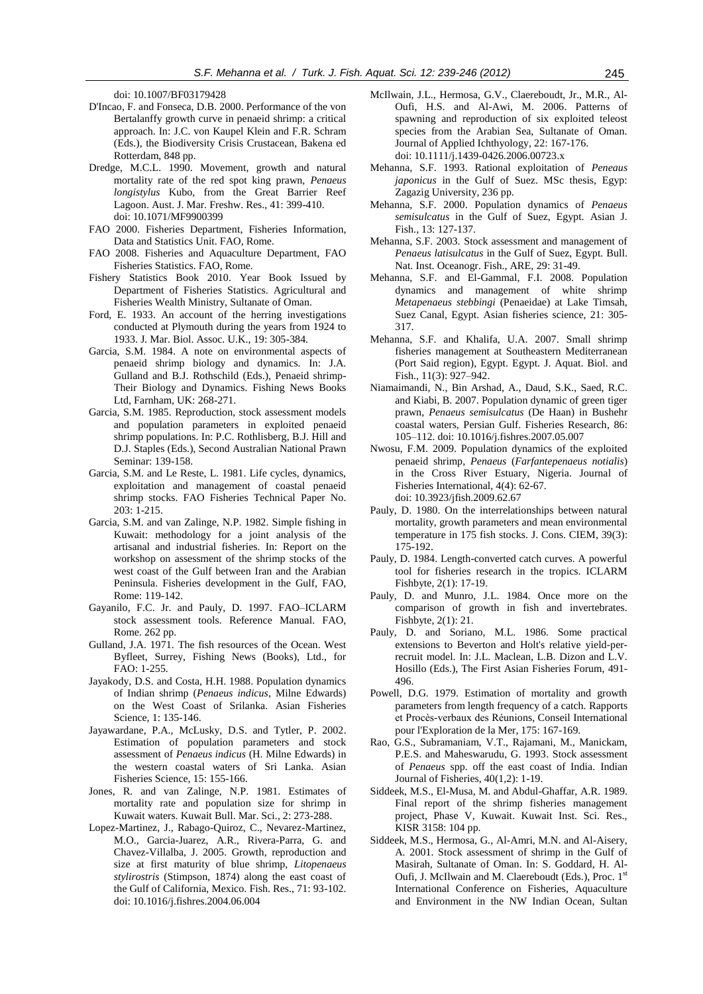doi: 10.1007/BF03179428

- D'Incao, F. and Fonseca, D.B. 2000. Performance of the von Bertalanffy growth curve in penaeid shrimp: a critical approach. In: J.C. von Kaupel Klein and F.R. Schram (Eds.), the Biodiversity Crisis Crustacean, Bakena ed Rotterdam, 848 pp.
- Dredge, M.C.L. 1990. Movement, growth and natural mortality rate of the red spot king prawn, *Penaeus longistylus* Kubo, from the Great Barrier Reef Lagoon. Aust. J. Mar. Freshw. Res., 41: 399-410. doi: 10.1071/MF9900399
- FAO 2000. Fisheries Department, Fisheries Information, Data and Statistics Unit. FAO, Rome.
- FAO 2008. Fisheries and Aquaculture Department, FAO Fisheries Statistics. FAO, Rome.
- Fishery Statistics Book 2010. Year Book Issued by Department of Fisheries Statistics. Agricultural and Fisheries Wealth Ministry, Sultanate of Oman.
- Ford, E. 1933. An account of the herring investigations conducted at Plymouth during the years from 1924 to 1933. J. Mar. Biol. Assoc. U.K., 19: 305-384.
- Garcia, S.M. 1984. A note on environmental aspects of penaeid shrimp biology and dynamics. In: J.A. Gulland and B.J. Rothschild (Eds.), Penaeid shrimp-Their Biology and Dynamics. Fishing News Books Ltd, Farnham, UK: 268-271.
- Garcia, S.M. 1985. Reproduction, stock assessment models and population parameters in exploited penaeid shrimp populations. In: P.C. Rothlisberg, B.J. Hill and D.J. Staples (Eds.), Second Australian National Prawn Seminar: 139-158.
- Garcia, S.M. and Le Reste, L. 1981. Life cycles, dynamics, exploitation and management of coastal penaeid shrimp stocks. FAO Fisheries Technical Paper No. 203: 1-215.
- Garcia, S.M. and van Zalinge, N.P. 1982. Simple fishing in Kuwait: methodology for a joint analysis of the artisanal and industrial fisheries. In: Report on the workshop on assessment of the shrimp stocks of the west coast of the Gulf between Iran and the Arabian Peninsula. Fisheries development in the Gulf, FAO, Rome: 119-142.
- Gayanilo, F.C. Jr. and Pauly, D. 1997. FAO–ICLARM stock assessment tools. Reference Manual. FAO, Rome. 262 pp.
- Gulland, J.A. 1971. The fish resources of the Ocean. West Byfleet, Surrey, Fishing News (Books), Ltd., for FAO: 1-255.
- Jayakody, D.S. and Costa, H.H. 1988. Population dynamics of Indian shrimp (*Penaeus indicus*, Milne Edwards) on the West Coast of Srilanka. Asian Fisheries Science, 1: 135-146.
- Jayawardane, P.A., McLusky, D.S. and Tytler, P. 2002. Estimation of population parameters and stock assessment of *Penaeus indicus* (H. Milne Edwards) in the western coastal waters of Sri Lanka. Asian Fisheries Science, 15: 155-166.
- Jones, R. and van Zalinge, N.P. 1981. Estimates of mortality rate and population size for shrimp in Kuwait waters. Kuwait Bull. Mar. Sci., 2: 273-288.
- Lopez-Martinez, J., Rabago-Quiroz, C., Nevarez-Martinez, M.O., Garcia-Juarez, A.R., Rivera-Parra, G. and Chavez-Villalba, J. 2005. Growth, reproduction and size at first maturity of blue shrimp, *Litopenaeus stylirostris* (Stimpson, 1874) along the east coast of the Gulf of California, Mexico. Fish. Res., 71: 93-102. doi: 10.1016/j.fishres.2004.06.004
- McIlwain, J.L., Hermosa, G.V., Claereboudt, Jr., M.R., Al-Oufi, H.S. and Al-Awi, M. 2006. Patterns of spawning and reproduction of six exploited teleost species from the Arabian Sea, Sultanate of Oman. Journal of Applied Ichthyology, 22: 167-176. doi: 10.1111/j.1439-0426.2006.00723.x
- Mehanna, S.F. 1993. Rational exploitation of *Peneaus japonicus* in the Gulf of Suez. MSc thesis, Egyp: Zagazig University, 236 pp.
- Mehanna, S.F. 2000. Population dynamics of *Penaeus semisulcatus* in the Gulf of Suez, Egypt. Asian J. Fish., 13: 127-137.
- Mehanna, S.F. 2003. Stock assessment and management of *Penaeus latisulcatus* in the Gulf of Suez, Egypt. Bull. Nat. Inst. Oceanogr. Fish., ARE, 29: 31-49.
- Mehanna, S.F. and El-Gammal, F.I. 2008. Population dynamics and management of white shrimp *Metapenaeus stebbingi* (Penaeidae) at Lake Timsah, Suez Canal, Egypt. Asian fisheries science, 21: 305- 317.
- Mehanna, S.F. and Khalifa, U.A. 2007. Small shrimp fisheries management at Southeastern Mediterranean (Port Said region), Egypt. Egypt. J. Aquat. Biol. and Fish., 11(3): 927–942.
- Niamaimandi, N., Bin Arshad, A., Daud, S.K., Saed, R.C. and Kiabi, B. 2007. Population dynamic of green tiger prawn, *Penaeus semisulcatus* (De Haan) in Bushehr coastal waters, Persian Gulf. Fisheries Research, 86: 105–112. doi: 10.1016/j.fishres.2007.05.007
- Nwosu, F.M. 2009. Population dynamics of the exploited penaeid shrimp, *Penaeus* (*Farfantepenaeus notialis*) in the Cross River Estuary, Nigeria. Journal of Fisheries International, 4(4): 62-67. doi: 10.3923/jfish.2009.62.67
- Pauly, D. 1980. On the interrelationships between natural mortality, growth parameters and mean environmental temperature in 175 fish stocks. J. Cons. CIEM, 39(3): 175-192.
- Pauly, D. 1984. Length-converted catch curves. A powerful tool for fisheries research in the tropics. ICLARM Fishbyte, 2(1): 17-19.
- Pauly, D. and Munro, J.L. 1984. Once more on the comparison of growth in fish and invertebrates. Fishbyte, 2(1): 21.
- Pauly, D. and Soriano, M.L. 1986. Some practical extensions to Beverton and Holt's relative yield-perrecruit model. In: J.L. Maclean, L.B. Dizon and L.V. Hosillo (Eds.), The First Asian Fisheries Forum, 491- 496.
- Powell, D.G. 1979. Estimation of mortality and growth parameters from length frequency of a catch. Rapports et Procès-verbaux des Réunions, Conseil International pour l'Exploration de la Mer, 175: 167-169.
- Rao, G.S., Subramaniam, V.T., Rajamani, M., Manickam, P.E.S. and Maheswarudu, G. 1993. Stock assessment of *Penaeus* spp. off the east coast of India. Indian Journal of Fisheries, 40(1,2): 1-19.
- Siddeek, M.S., El-Musa, M. and Abdul-Ghaffar, A.R. 1989. Final report of the shrimp fisheries management project, Phase V, Kuwait. Kuwait Inst. Sci. Res., KISR 3158: 104 pp.
- Siddeek, M.S., Hermosa, G., Al-Amri, M.N. and Al-Aisery, A. 2001. Stock assessment of shrimp in the Gulf of Masirah, Sultanate of Oman. In: S. Goddard, H. Al-Oufi, J. McIlwain and M. Claereboudt (Eds.), Proc. 1st International Conference on Fisheries, Aquaculture and Environment in the NW Indian Ocean, Sultan